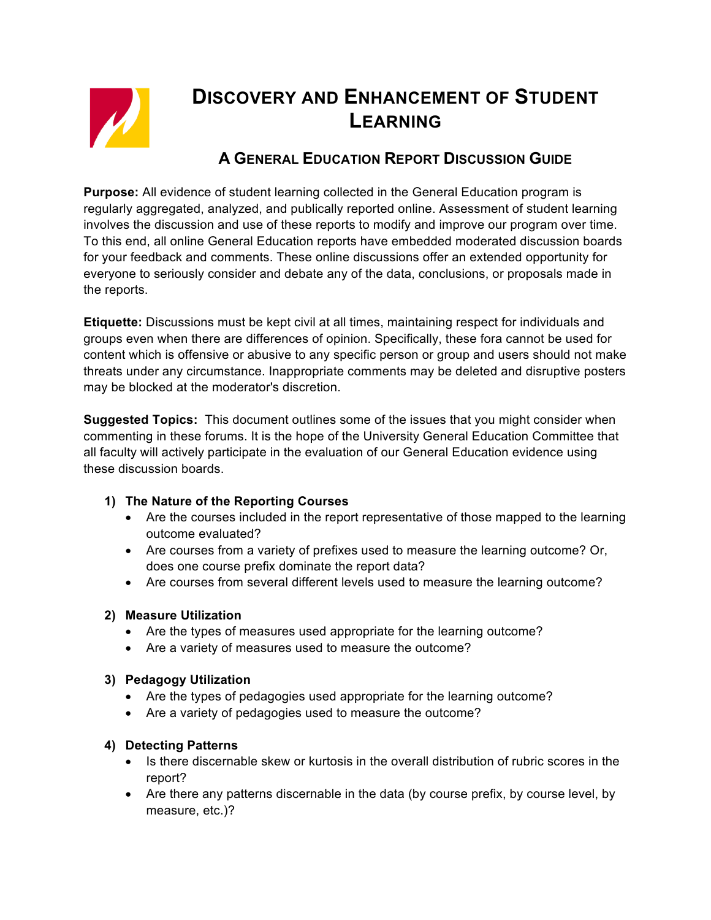

# **DISCOVERY AND ENHANCEMENT OF STUDENT LEARNING**

# **A GENERAL EDUCATION REPORT DISCUSSION GUIDE**

**Purpose:** All evidence of student learning collected in the General Education program is regularly aggregated, analyzed, and publically reported online. Assessment of student learning involves the discussion and use of these reports to modify and improve our program over time. To this end, all online General Education reports have embedded moderated discussion boards for your feedback and comments. These online discussions offer an extended opportunity for everyone to seriously consider and debate any of the data, conclusions, or proposals made in the reports.

**Etiquette:** Discussions must be kept civil at all times, maintaining respect for individuals and groups even when there are differences of opinion. Specifically, these fora cannot be used for content which is offensive or abusive to any specific person or group and users should not make threats under any circumstance. Inappropriate comments may be deleted and disruptive posters may be blocked at the moderator's discretion.

**Suggested Topics:** This document outlines some of the issues that you might consider when commenting in these forums. It is the hope of the University General Education Committee that all faculty will actively participate in the evaluation of our General Education evidence using these discussion boards.

# **1) The Nature of the Reporting Courses**

- Are the courses included in the report representative of those mapped to the learning outcome evaluated?
- Are courses from a variety of prefixes used to measure the learning outcome? Or, does one course prefix dominate the report data?
- Are courses from several different levels used to measure the learning outcome?

# **2) Measure Utilization**

- Are the types of measures used appropriate for the learning outcome?
- Are a variety of measures used to measure the outcome?

#### **3) Pedagogy Utilization**

- Are the types of pedagogies used appropriate for the learning outcome?
- Are a variety of pedagogies used to measure the outcome?

# **4) Detecting Patterns**

- Is there discernable skew or kurtosis in the overall distribution of rubric scores in the report?
- Are there any patterns discernable in the data (by course prefix, by course level, by measure, etc.)?